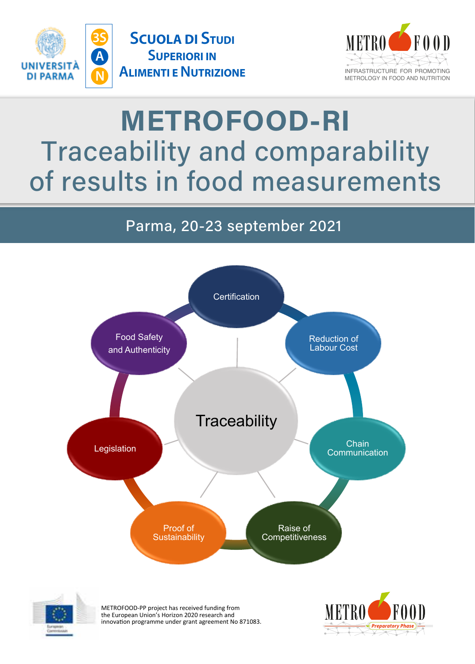



# **METROFOOD-RI Traceability and comparability** of results in food measurements

# Parma, 20-23 september 2021





METROFOOD-PP project has received funding from the European Union's Horizon 2020 research and innovation programme under grant agreement No 871083.

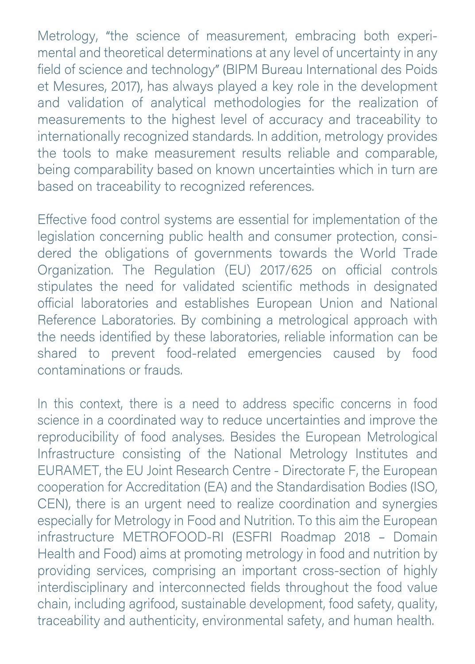Metrology, "the science of measurement, embracing both experimental and theoretical determinations at any level of uncertainty in any field of science and technology" (BIPM Bureau International des Poids et Mesures, 2017), has always played a key role in the development and validation of analytical methodologies for the realization of measurements to the highest level of accuracy and traceability to internationally recognized standards. In addition, metrology provides the tools to make measurement results reliable and comparable, being comparability based on known uncertainties which in turn are based on traceability to recognized references.

Effective food control systems are essential for implementation of the legislation concerning public health and consumer protection, considered the obligations of governments towards the World Trade Organization. The Regulation (EU) 2017/625 on official controls stipulates the need for validated scientific methods in designated official laboratories and establishes European Union and National Reference Laboratories. By combining a metrological approach with the needs identified by these laboratories, reliable information can be shared to prevent food-related emergencies caused by food contaminations or frauds.

In this context, there is a need to address specific concerns in food science in a coordinated way to reduce uncertainties and improve the reproducibility of food analyses. Besides the European Metrological Infrastructure consisting of the National Metrology Institutes and EURAMET, the EU Joint Research Centre - Directorate F, the European cooperation for Accreditation (EA) and the Standardisation Bodies (ISO, CEN), there is an urgent need to realize coordination and synergies especially for Metrology in Food and Nutrition. To this aim the European infrastructure METROFOOD-RI (ESFRI Roadmap 2018 - Domain Health and Food) aims at promoting metrology in food and nutrition by providing services, comprising an important cross-section of highly interdisciplinary and interconnected fields throughout the food value chain, including agrifood, sustainable development, food safety, quality, traceability and authenticity, environmental safety, and human health.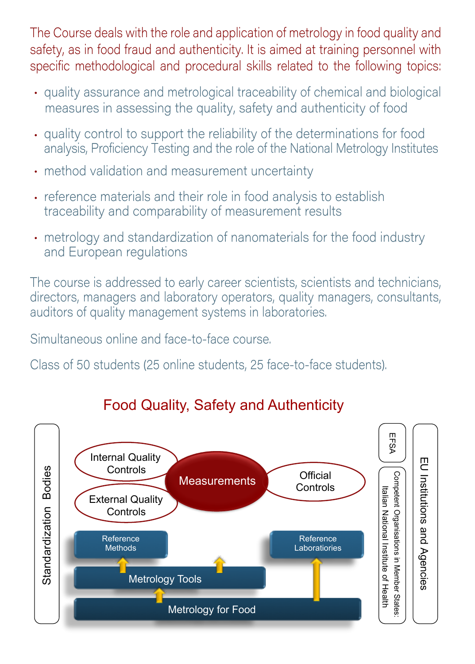The Course deals with the role and application of metrology in food quality and safety, as in food fraud and authenticity. It is aimed at training personnel with specific methodological and procedural skills related to the following topics:

- · quality assurance and metrological traceability of chemical and biological measures in assessing the quality, safety and authenticity of food
- quality control to support the reliability of the determinations for food analysis, Proficiency Testing and the role of the National Metrology Institutes
- method validation and measurement uncertainty
- · reference materials and their role in food analysis to establish traceability and comparability of measurement results
- metrology and standardization of nanomaterials for the food industry and European regulations

The course is addressed to early career scientists, scientists and technicians, directors, managers and laboratory operators, quality managers, consultants, auditors of quality management systems in laboratories.

Simultaneous online and face-to-face course.

Class of 50 students (25 online students, 25 face-to-face students).



# Food Quality, Safety and Authenticity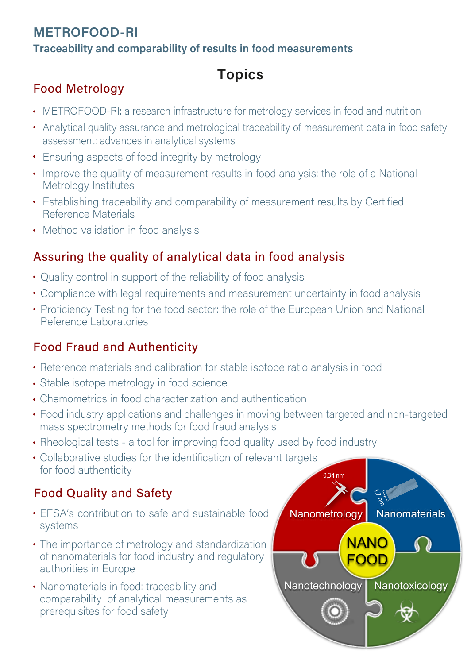## **METROFOOD-RI**

#### Traceability and comparability of results in food measurements

## **Topics**

#### **Food Metrology**

- METROFOOD-RI: a research infrastructure for metrology services in food and nutrition
- Analytical quality assurance and metrological traceability of measurement data in food safety assessment: advances in analytical systems
- Ensuring aspects of food integrity by metrology
- Improve the quality of measurement results in food analysis: the role of a National Metrology Institutes
- Establishing traceability and comparability of measurement results by Certified Reference Materials
- Method validation in food analysis

#### Assuring the quality of analytical data in food analysis

- Quality control in support of the reliability of food analysis
- Compliance with legal requirements and measurement uncertainty in food analysis
- Proficiency Testing for the food sector: the role of the European Union and National Reference | aboratories

#### **Food Fraud and Authenticity**

- Reference materials and calibration for stable isotope ratio analysis in food
- Stable isotope metrology in food science
- Chemometrics in food characterization and authentication
- Food industry applications and challenges in moving between targeted and non-targeted mass spectrometry methods for food fraud analysis
- Rheological tests a tool for improving food quality used by food industry
- Collaborative studies for the identification of relevant targets for food authenticity

#### **Food Quality and Safety**

- EFSA's contribution to safe and sustainable food systems
- The importance of metrology and standardization of nanomaterials for food industry and regulatory authorities in Europe
- Nanomaterials in food: traceability and comparability of analytical measurements as prerequisites for food safety

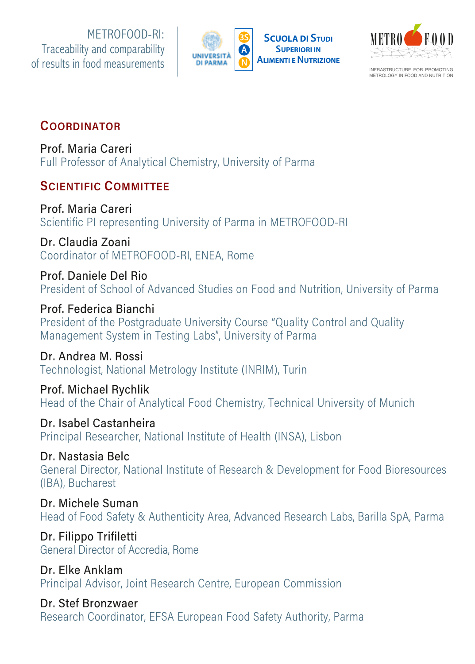METROFOOD-RI: Traceability and comparability of results in food measurements





INFRASTRUCTURE FOR PROMOTING METROLOGY IN FOOD AND NUTRITION

#### **COORDINATOR**

Prof Maria Careri Full Professor of Analytical Chemistry, University of Parma

#### **SCIENTIFIC COMMITTEE**

Prof. Maria Careri Scientific PI representing University of Parma in METROFOOD-RI

Dr. Claudia Zoani Coordinator of METROFOOD-RI, ENEA, Rome

Prof. Daniele Del Rio President of School of Advanced Studies on Food and Nutrition, University of Parma

Prof. Federica Bianchi President of the Postgraduate University Course "Quality Control and Quality Management System in Testing Labs", University of Parma

Dr. Andrea M. Rossi Technologist, National Metrology Institute (INRIM), Turin

Prof. Michael Rychlik Head of the Chair of Analytical Food Chemistry, Technical University of Munich

Dr. Isabel Castanheira Principal Researcher, National Institute of Health (INSA), Lisbon

Dr. Nastasia Belc General Director, National Institute of Research & Development for Food Bioresources (IBA). Bucharest

Dr. Michele Suman Head of Food Safety & Authenticity Area, Advanced Research Labs, Barilla SpA, Parma

Dr. Filippo Trifiletti General Director of Accredia, Rome

Dr. Elke Anklam Principal Advisor, Joint Research Centre, European Commission

Dr. Stef Bronzwaer Research Coordinator, EFSA European Food Safety Authority, Parma